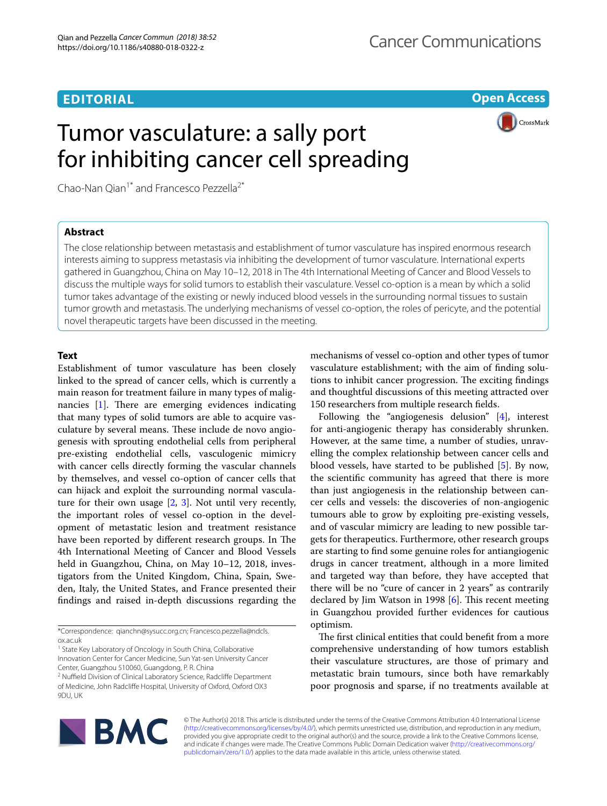# **EDITORIAL**

**Open Access**

CrossMark

# Tumor vasculature: a sally port for inhibiting cancer cell spreading

Chao-Nan Oian<sup>1\*</sup> and Francesco Pezzella<sup>2\*</sup>

# **Abstract**

The close relationship between metastasis and establishment of tumor vasculature has inspired enormous research interests aiming to suppress metastasis via inhibiting the development of tumor vasculature. International experts gathered in Guangzhou, China on May 10–12, 2018 in The 4th International Meeting of Cancer and Blood Vessels to discuss the multiple ways for solid tumors to establish their vasculature. Vessel co-option is a mean by which a solid tumor takes advantage of the existing or newly induced blood vessels in the surrounding normal tissues to sustain tumor growth and metastasis. The underlying mechanisms of vessel co-option, the roles of pericyte, and the potential novel therapeutic targets have been discussed in the meeting.

# **Text**

Establishment of tumor vasculature has been closely linked to the spread of cancer cells, which is currently a main reason for treatment failure in many types of malignancies  $[1]$  $[1]$ . There are emerging evidences indicating that many types of solid tumors are able to acquire vasculature by several means. These include de novo angiogenesis with sprouting endothelial cells from peripheral pre-existing endothelial cells, vasculogenic mimicry with cancer cells directly forming the vascular channels by themselves, and vessel co-option of cancer cells that can hijack and exploit the surrounding normal vasculature for their own usage  $[2, 3]$  $[2, 3]$  $[2, 3]$ . Not until very recently, the important roles of vessel co-option in the development of metastatic lesion and treatment resistance have been reported by different research groups. In The 4th International Meeting of Cancer and Blood Vessels held in Guangzhou, China, on May 10–12, 2018, investigators from the United Kingdom, China, Spain, Sweden, Italy, the United States, and France presented their fndings and raised in-depth discussions regarding the

\*Correspondence: qianchn@sysucc.org.cn; Francesco.pezzella@ndcls. ox.ac.uk

<sup>1</sup> State Key Laboratory of Oncology in South China, Collaborative Innovation Center for Cancer Medicine, Sun Yat-sen University Cancer Center, Guangzhou 510060, Guangdong, P. R. China

<sup>2</sup> Nuffield Division of Clinical Laboratory Science, Radcliffe Department of Medicine, John Radclife Hospital, University of Oxford, Oxford OX3 9DU, UK

mechanisms of vessel co-option and other types of tumor vasculature establishment; with the aim of fnding solutions to inhibit cancer progression. The exciting findings and thoughtful discussions of this meeting attracted over 150 researchers from multiple research felds.

Following the "angiogenesis delusion" [\[4](#page-2-3)], interest for anti-angiogenic therapy has considerably shrunken. However, at the same time, a number of studies, unravelling the complex relationship between cancer cells and blood vessels, have started to be published [\[5](#page-2-4)]. By now, the scientifc community has agreed that there is more than just angiogenesis in the relationship between cancer cells and vessels: the discoveries of non-angiogenic tumours able to grow by exploiting pre-existing vessels, and of vascular mimicry are leading to new possible targets for therapeutics. Furthermore, other research groups are starting to fnd some genuine roles for antiangiogenic drugs in cancer treatment, although in a more limited and targeted way than before, they have accepted that there will be no "cure of cancer in 2 years" as contrarily declared by Jim Watson in 1998  $[6]$ . This recent meeting in Guangzhou provided further evidences for cautious optimism.

The first clinical entities that could benefit from a more comprehensive understanding of how tumors establish their vasculature structures, are those of primary and metastatic brain tumours, since both have remarkably poor prognosis and sparse, if no treatments available at



© The Author(s) 2018. This article is distributed under the terms of the Creative Commons Attribution 4.0 International License [\(http://creativecommons.org/licenses/by/4.0/\)](http://creativecommons.org/licenses/by/4.0/), which permits unrestricted use, distribution, and reproduction in any medium, provided you give appropriate credit to the original author(s) and the source, provide a link to the Creative Commons license, and indicate if changes were made. The Creative Commons Public Domain Dedication waiver ([http://creativecommons.org/](http://creativecommons.org/publicdomain/zero/1.0/) [publicdomain/zero/1.0/](http://creativecommons.org/publicdomain/zero/1.0/)) applies to the data made available in this article, unless otherwise stated.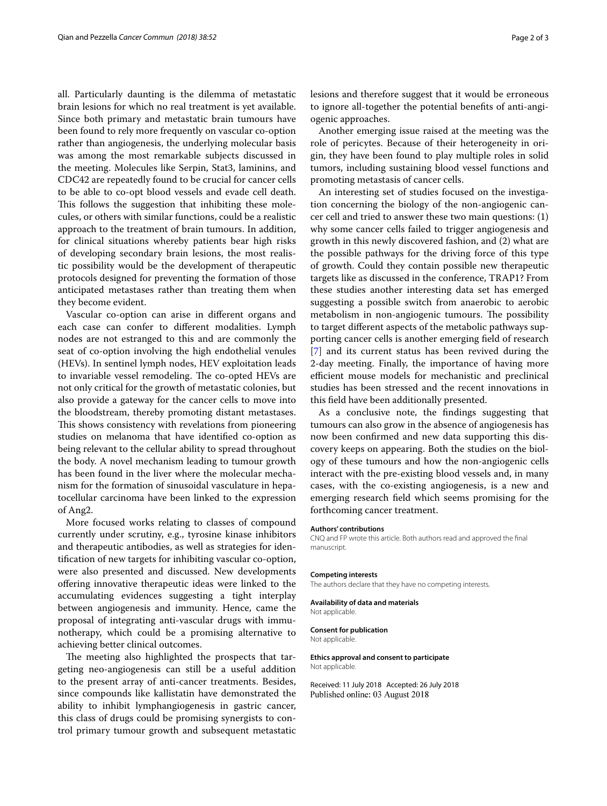all. Particularly daunting is the dilemma of metastatic brain lesions for which no real treatment is yet available. Since both primary and metastatic brain tumours have been found to rely more frequently on vascular co-option rather than angiogenesis, the underlying molecular basis was among the most remarkable subjects discussed in the meeting. Molecules like Serpin, Stat3, laminins, and CDC42 are repeatedly found to be crucial for cancer cells to be able to co-opt blood vessels and evade cell death. This follows the suggestion that inhibiting these molecules, or others with similar functions, could be a realistic approach to the treatment of brain tumours. In addition, for clinical situations whereby patients bear high risks of developing secondary brain lesions, the most realistic possibility would be the development of therapeutic protocols designed for preventing the formation of those anticipated metastases rather than treating them when they become evident.

Vascular co-option can arise in diferent organs and each case can confer to diferent modalities. Lymph nodes are not estranged to this and are commonly the seat of co-option involving the high endothelial venules (HEVs). In sentinel lymph nodes, HEV exploitation leads to invariable vessel remodeling. The co-opted HEVs are not only critical for the growth of metastatic colonies, but also provide a gateway for the cancer cells to move into the bloodstream, thereby promoting distant metastases. This shows consistency with revelations from pioneering studies on melanoma that have identifed co-option as being relevant to the cellular ability to spread throughout the body. A novel mechanism leading to tumour growth has been found in the liver where the molecular mechanism for the formation of sinusoidal vasculature in hepatocellular carcinoma have been linked to the expression of Ang2.

More focused works relating to classes of compound currently under scrutiny, e.g., tyrosine kinase inhibitors and therapeutic antibodies, as well as strategies for identifcation of new targets for inhibiting vascular co-option, were also presented and discussed. New developments ofering innovative therapeutic ideas were linked to the accumulating evidences suggesting a tight interplay between angiogenesis and immunity. Hence, came the proposal of integrating anti-vascular drugs with immunotherapy, which could be a promising alternative to achieving better clinical outcomes.

The meeting also highlighted the prospects that targeting neo-angiogenesis can still be a useful addition to the present array of anti-cancer treatments. Besides, since compounds like kallistatin have demonstrated the ability to inhibit lymphangiogenesis in gastric cancer, this class of drugs could be promising synergists to control primary tumour growth and subsequent metastatic lesions and therefore suggest that it would be erroneous to ignore all-together the potential benefts of anti-angiogenic approaches.

Another emerging issue raised at the meeting was the role of pericytes. Because of their heterogeneity in origin, they have been found to play multiple roles in solid tumors, including sustaining blood vessel functions and promoting metastasis of cancer cells.

An interesting set of studies focused on the investigation concerning the biology of the non-angiogenic cancer cell and tried to answer these two main questions: (1) why some cancer cells failed to trigger angiogenesis and growth in this newly discovered fashion, and (2) what are the possible pathways for the driving force of this type of growth. Could they contain possible new therapeutic targets like as discussed in the conference, TRAP1? From these studies another interesting data set has emerged suggesting a possible switch from anaerobic to aerobic metabolism in non-angiogenic tumours. The possibility to target diferent aspects of the metabolic pathways supporting cancer cells is another emerging feld of research [[7\]](#page-2-6) and its current status has been revived during the 2-day meeting. Finally, the importance of having more efficient mouse models for mechanistic and preclinical studies has been stressed and the recent innovations in this feld have been additionally presented.

As a conclusive note, the fndings suggesting that tumours can also grow in the absence of angiogenesis has now been confrmed and new data supporting this discovery keeps on appearing. Both the studies on the biology of these tumours and how the non-angiogenic cells interact with the pre-existing blood vessels and, in many cases, with the co-existing angiogenesis, is a new and emerging research feld which seems promising for the forthcoming cancer treatment.

## **Authors' contributions**

CNQ and FP wrote this article. Both authors read and approved the fnal manuscript.

### **Competing interests**

The authors declare that they have no competing interests.

**Availability of data and materials** Not applicable.

## **Consent for publication**

Not applicable.

## **Ethics approval and consent to participate** Not applicable.

Received: 11 July 2018 Accepted: 26 July 2018Published online: 03 August 2018